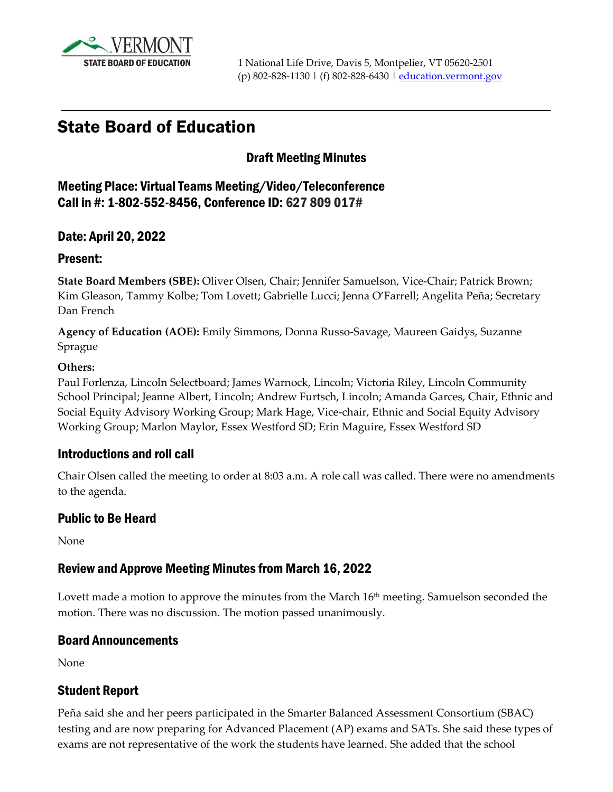

# State Board of Education

#### Draft Meeting Minutes

Meeting Place: Virtual Teams Meeting/Video/Teleconference Call in #: 1-802-552-8456, Conference ID: 627 809 017#

#### Date: April 20, 2022

#### Present:

**State Board Members (SBE):** Oliver Olsen, Chair; Jennifer Samuelson, Vice-Chair; Patrick Brown; Kim Gleason, Tammy Kolbe; Tom Lovett; Gabrielle Lucci; Jenna O'Farrell; Angelita Peña; Secretary Dan French

**Agency of Education (AOE):** Emily Simmons, Donna Russo-Savage, Maureen Gaidys, Suzanne Sprague

#### **Others:**

Paul Forlenza, Lincoln Selectboard; James Warnock, Lincoln; Victoria Riley, Lincoln Community School Principal; Jeanne Albert, Lincoln; Andrew Furtsch, Lincoln; Amanda Garces, Chair, Ethnic and Social Equity Advisory Working Group; Mark Hage, Vice-chair, Ethnic and Social Equity Advisory Working Group; Marlon Maylor, Essex Westford SD; Erin Maguire, Essex Westford SD

#### Introductions and roll call

Chair Olsen called the meeting to order at 8:03 a.m. A role call was called. There were no amendments to the agenda.

#### Public to Be Heard

None

#### Review and Approve Meeting Minutes from March 16, 2022

Lovett made a motion to approve the minutes from the March 16<sup>th</sup> meeting. Samuelson seconded the motion. There was no discussion. The motion passed unanimously.

#### Board Announcements

None

#### Student Report

Peña said she and her peers participated in the Smarter Balanced Assessment Consortium (SBAC) testing and are now preparing for Advanced Placement (AP) exams and SATs. She said these types of exams are not representative of the work the students have learned. She added that the school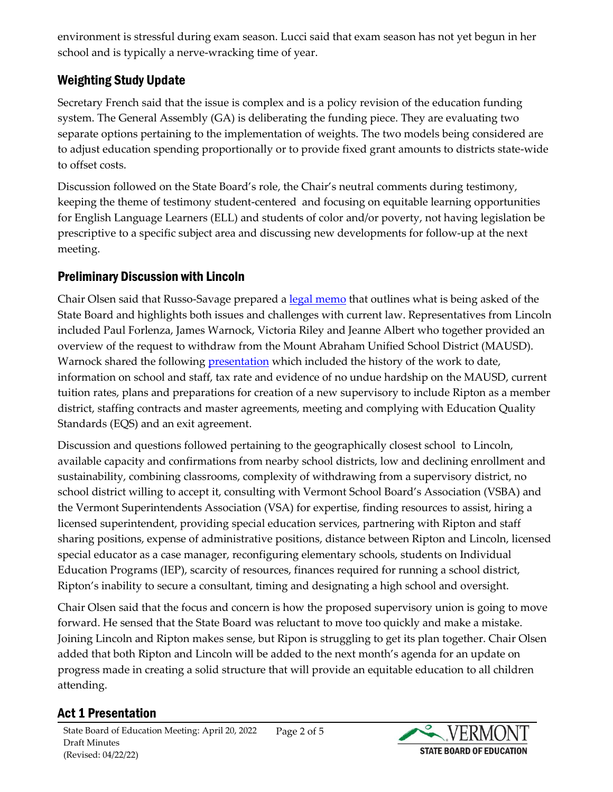environment is stressful during exam season. Lucci said that exam season has not yet begun in her school and is typically a nerve-wracking time of year.

### Weighting Study Update

Secretary French said that the issue is complex and is a policy revision of the education funding system. The General Assembly (GA) is deliberating the funding piece. They are evaluating two separate options pertaining to the implementation of weights. The two models being considered are to adjust education spending proportionally or to provide fixed grant amounts to districts state-wide to offset costs.

Discussion followed on the State Board's role, the Chair's neutral comments during testimony, keeping the theme of testimony student-centered and focusing on equitable learning opportunities for English Language Learners (ELL) and students of color and/or poverty, not having legislation be prescriptive to a specific subject area and discussing new developments for follow-up at the next meeting.

### Preliminary Discussion with Lincoln

Chair Olsen said that Russo-Savage prepared a <u>legal memo</u> that outlines what is being asked of the State Board and highlights both issues and challenges with current law. Representatives from Lincoln included Paul Forlenza, James Warnock, Victoria Riley and Jeanne Albert who together provided an overview of the request to withdraw from the Mount Abraham Unified School District (MAUSD). Warnock shared the following **presentation** which included the history of the work to date, information on school and staff, tax rate and evidence of no undue hardship on the MAUSD, current tuition rates, plans and preparations for creation of a new supervisory to include Ripton as a member district, staffing contracts and master agreements, meeting and complying with Education Quality Standards (EQS) and an exit agreement.

Discussion and questions followed pertaining to the geographically closest school to Lincoln, available capacity and confirmations from nearby school districts, low and declining enrollment and sustainability, combining classrooms, complexity of withdrawing from a supervisory district, no school district willing to accept it, consulting with Vermont School Board's Association (VSBA) and the Vermont Superintendents Association (VSA) for expertise, finding resources to assist, hiring a licensed superintendent, providing special education services, partnering with Ripton and staff sharing positions, expense of administrative positions, distance between Ripton and Lincoln, licensed special educator as a case manager, reconfiguring elementary schools, students on Individual Education Programs (IEP), scarcity of resources, finances required for running a school district, Ripton's inability to secure a consultant, timing and designating a high school and oversight.

Chair Olsen said that the focus and concern is how the proposed supervisory union is going to move forward. He sensed that the State Board was reluctant to move too quickly and make a mistake. Joining Lincoln and Ripton makes sense, but Ripon is struggling to get its plan together. Chair Olsen added that both Ripton and Lincoln will be added to the next month's agenda for an update on progress made in creating a solid structure that will provide an equitable education to all children attending.

### Act 1 Presentation

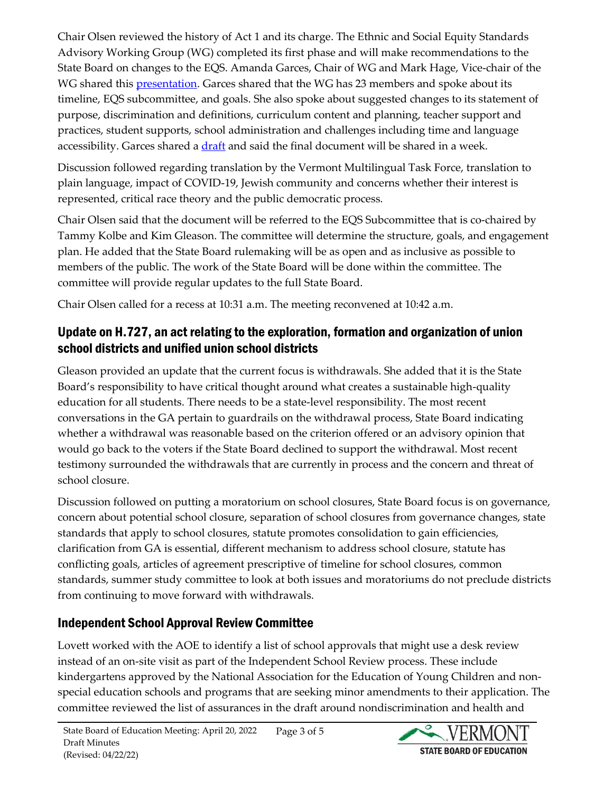Chair Olsen reviewed the history of Act 1 and its charge. The Ethnic and Social Equity Standards Advisory Working Group (WG) completed its first phase and will make recommendations to the State Board on changes to the EQS. Amanda Garces, Chair of WG and Mark Hage, Vice-chair of the WG shared this [presentation.](https://education.vermont.gov/documents/state-board-item-g-1-04-20-22) Garces shared that the WG has 23 members and spoke about its timeline, EQS subcommittee, and goals. She also spoke about suggested changes to its statement of purpose, discrimination and definitions, curriculum content and planning, teacher support and practices, student supports, school administration and challenges including time and language accessibility. Garces shared a [draft](https://education.vermont.gov/documents/state-board-item-g-2-04-20-22) and said the final document will be shared in a week.

Discussion followed regarding translation by the Vermont Multilingual Task Force, translation to plain language, impact of COVID-19, Jewish community and concerns whether their interest is represented, critical race theory and the public democratic process.

Chair Olsen said that the document will be referred to the EQS Subcommittee that is co-chaired by Tammy Kolbe and Kim Gleason. The committee will determine the structure, goals, and engagement plan. He added that the State Board rulemaking will be as open and as inclusive as possible to members of the public. The work of the State Board will be done within the committee. The committee will provide regular updates to the full State Board.

Chair Olsen called for a recess at 10:31 a.m. The meeting reconvened at 10:42 a.m.

### Update on H.727, an act relating to the exploration, formation and organization of union school districts and unified union school districts

Gleason provided an update that the current focus is withdrawals. She added that it is the State Board's responsibility to have critical thought around what creates a sustainable high-quality education for all students. There needs to be a state-level responsibility. The most recent conversations in the GA pertain to guardrails on the withdrawal process, State Board indicating whether a withdrawal was reasonable based on the criterion offered or an advisory opinion that would go back to the voters if the State Board declined to support the withdrawal. Most recent testimony surrounded the withdrawals that are currently in process and the concern and threat of school closure.

Discussion followed on putting a moratorium on school closures, State Board focus is on governance, concern about potential school closure, separation of school closures from governance changes, state standards that apply to school closures, statute promotes consolidation to gain efficiencies, clarification from GA is essential, different mechanism to address school closure, statute has conflicting goals, articles of agreement prescriptive of timeline for school closures, common standards, summer study committee to look at both issues and moratoriums do not preclude districts from continuing to move forward with withdrawals.

# Independent School Approval Review Committee

Lovett worked with the AOE to identify a list of school approvals that might use a desk review instead of an on-site visit as part of the Independent School Review process. These include kindergartens approved by the National Association for the Education of Young Children and nonspecial education schools and programs that are seeking minor amendments to their application. The committee reviewed the list of assurances in the draft around nondiscrimination and health and

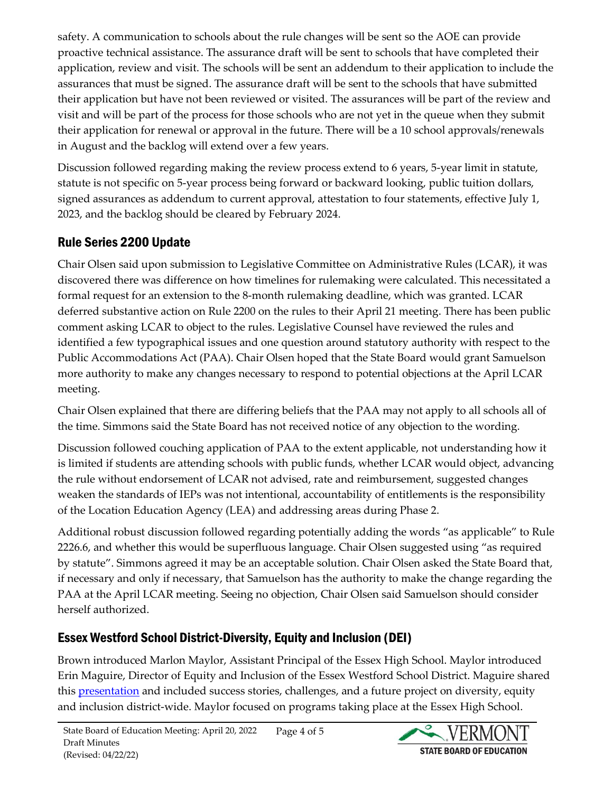safety. A communication to schools about the rule changes will be sent so the AOE can provide proactive technical assistance. The assurance draft will be sent to schools that have completed their application, review and visit. The schools will be sent an addendum to their application to include the assurances that must be signed. The assurance draft will be sent to the schools that have submitted their application but have not been reviewed or visited. The assurances will be part of the review and visit and will be part of the process for those schools who are not yet in the queue when they submit their application for renewal or approval in the future. There will be a 10 school approvals/renewals in August and the backlog will extend over a few years.

Discussion followed regarding making the review process extend to 6 years, 5-year limit in statute, statute is not specific on 5-year process being forward or backward looking, public tuition dollars, signed assurances as addendum to current approval, attestation to four statements, effective July 1, 2023, and the backlog should be cleared by February 2024.

# Rule Series 2200 Update

Chair Olsen said upon submission to Legislative Committee on Administrative Rules (LCAR), it was discovered there was difference on how timelines for rulemaking were calculated. This necessitated a formal request for an extension to the 8-month rulemaking deadline, which was granted. LCAR deferred substantive action on Rule 2200 on the rules to their April 21 meeting. There has been public comment asking LCAR to object to the rules. Legislative Counsel have reviewed the rules and identified a few typographical issues and one question around statutory authority with respect to the Public Accommodations Act (PAA). Chair Olsen hoped that the State Board would grant Samuelson more authority to make any changes necessary to respond to potential objections at the April LCAR meeting.

Chair Olsen explained that there are differing beliefs that the PAA may not apply to all schools all of the time. Simmons said the State Board has not received notice of any objection to the wording.

Discussion followed couching application of PAA to the extent applicable, not understanding how it is limited if students are attending schools with public funds, whether LCAR would object, advancing the rule without endorsement of LCAR not advised, rate and reimbursement, suggested changes weaken the standards of IEPs was not intentional, accountability of entitlements is the responsibility of the Location Education Agency (LEA) and addressing areas during Phase 2.

Additional robust discussion followed regarding potentially adding the words "as applicable" to Rule 2226.6, and whether this would be superfluous language. Chair Olsen suggested using "as required by statute". Simmons agreed it may be an acceptable solution. Chair Olsen asked the State Board that, if necessary and only if necessary, that Samuelson has the authority to make the change regarding the PAA at the April LCAR meeting. Seeing no objection, Chair Olsen said Samuelson should consider herself authorized.

# Essex Westford School District-Diversity, Equity and Inclusion (DEI)

Brown introduced Marlon Maylor, Assistant Principal of the Essex High School. Maylor introduced Erin Maguire, Director of Equity and Inclusion of the Essex Westford School District. Maguire shared this **presentation** and included success stories, challenges, and a future project on diversity, equity and inclusion district-wide. Maylor focused on programs taking place at the Essex High School.